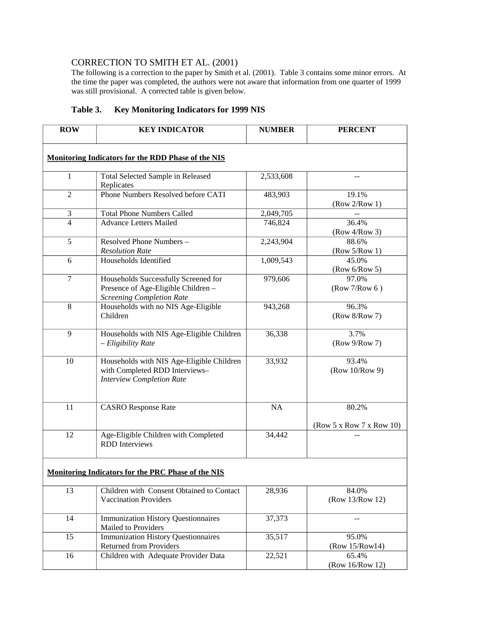## CORRECTION TO SMITH ET AL. (2001)

The following is a correction to the paper by Smith et al. (2001). Table 3 contains some minor errors. At the time the paper was completed, the authors were not aware that information from one quarter of 1999 was still provisional. A corrected table is given below.

## **Table 3. Key Monitoring Indicators for 1999 NIS**

| <b>ROW</b>                                                | <b>KEY INDICATOR</b>                                                                                            | <b>NUMBER</b> | <b>PERCENT</b>                    |
|-----------------------------------------------------------|-----------------------------------------------------------------------------------------------------------------|---------------|-----------------------------------|
| <b>Monitoring Indicators for the RDD Phase of the NIS</b> |                                                                                                                 |               |                                   |
| $\mathbf{1}$                                              | Total Selected Sample in Released<br>Replicates                                                                 | 2,533,608     | $-$                               |
| $\overline{2}$                                            | Phone Numbers Resolved before CATI                                                                              | 483,903       | 19.1%<br>(Row 2/Row 1)            |
| 3                                                         | <b>Total Phone Numbers Called</b>                                                                               | 2,049,705     |                                   |
| $\overline{4}$                                            | <b>Advance Letters Mailed</b>                                                                                   | 746,824       | 36.4%<br>$(Row\ 4/Row\ 3)$        |
| 5                                                         | Resolved Phone Numbers -<br><b>Resolution Rate</b>                                                              | 2,243,904     | 88.6%<br>(Row 5/Row 1)            |
| 6                                                         | Households Identified                                                                                           | 1,009,543     | 45.0%<br>(Row 6/Row 5)            |
| $\overline{7}$                                            | Households Successfully Screened for<br>Presence of Age-Eligible Children -<br><b>Screening Completion Rate</b> | 979,606       | 97.0%<br>(Row 7/Row 6)            |
| 8                                                         | Households with no NIS Age-Eligible<br>Children                                                                 | 943,268       | 96.3%<br>(Row 8/Row 7)            |
| 9                                                         | Households with NIS Age-Eligible Children<br>- Eligibility Rate                                                 | 36,338        | 3.7%<br>(Row 9/Row 7)             |
| 10                                                        | Households with NIS Age-Eligible Children<br>with Completed RDD Interviews-<br><b>Interview Completion Rate</b> | 33,932        | 93.4%<br>(Row 10/Row 9)           |
| 11                                                        | <b>CASRO</b> Response Rate                                                                                      | NA            | 80.2%<br>(Row 5 x Row 7 x Row 10) |
| 12                                                        | Age-Eligible Children with Completed<br><b>RDD</b> Interviews                                                   | 34,442        |                                   |
| <b>Monitoring Indicators for the PRC Phase of the NIS</b> |                                                                                                                 |               |                                   |
| 13                                                        | Children with Consent Obtained to Contact<br><b>Vaccination Providers</b>                                       | 28,936        | 84.0%<br>(Row 13/Row 12)          |
| 14                                                        | <b>Immunization History Questionnaires</b><br>Mailed to Providers                                               | 37,373        |                                   |
| 15                                                        | <b>Immunization History Questionnaires</b><br><b>Returned from Providers</b>                                    | 35,517        | 95.0%<br>(Row 15/Row14)           |
| 16                                                        | Children with Adequate Provider Data                                                                            | 22,521        | 65.4%<br>(Row 16/Row 12)          |